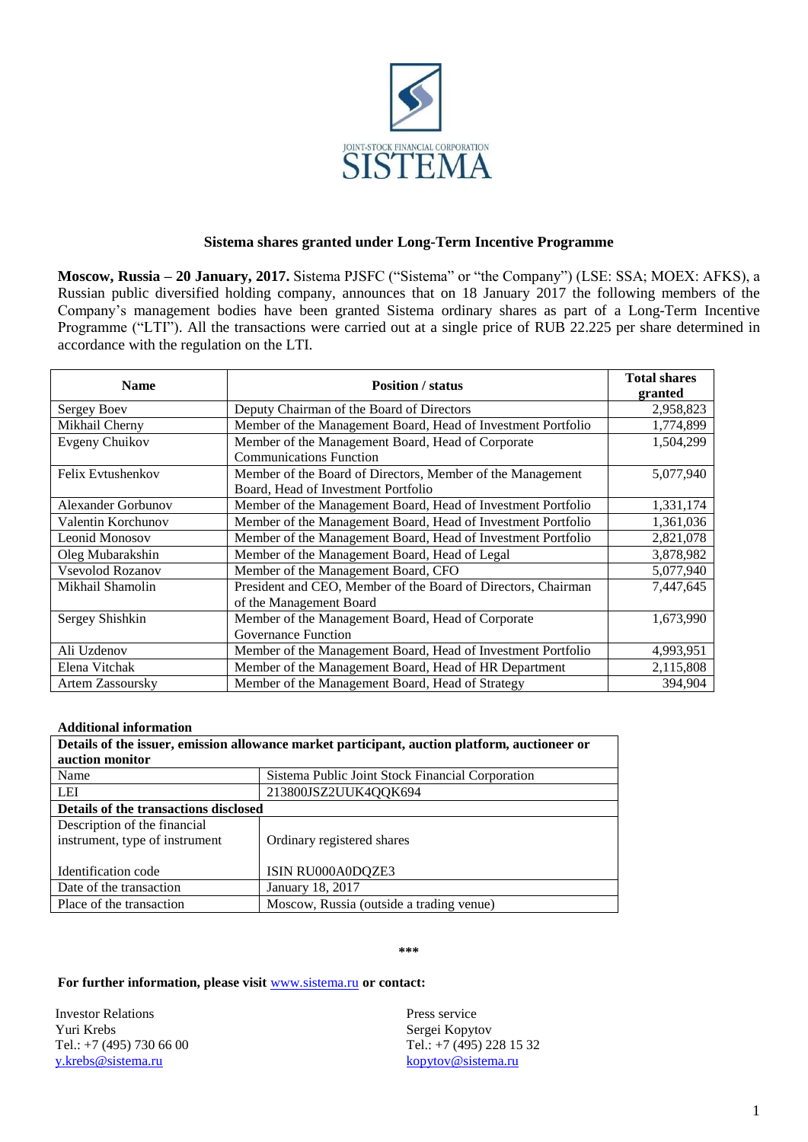

## **Sistema shares granted under Long-Term Incentive Programme**

**Moscow, Russia – 20 January, 2017.** Sistema PJSFC ("Sistema" or "the Company") (LSE: SSA; MOEX: AFKS), a Russian public diversified holding company, announces that on 18 January 2017 the following members of the Company's management bodies have been granted Sistema ordinary shares as part of a Long-Term Incentive Programme ("LTI"). All the transactions were carried out at a single price of RUB 22.225 per share determined in accordance with the regulation on the LTI.

| <b>Name</b>               | <b>Position</b> / status                                      | <b>Total shares</b><br>granted |
|---------------------------|---------------------------------------------------------------|--------------------------------|
| Sergey Boev               | Deputy Chairman of the Board of Directors                     | 2,958,823                      |
| Mikhail Cherny            | Member of the Management Board, Head of Investment Portfolio  | 1,774,899                      |
| Evgeny Chuikov            | Member of the Management Board, Head of Corporate             | 1,504,299                      |
|                           | <b>Communications Function</b>                                |                                |
| Felix Evtushenkov         | Member of the Board of Directors, Member of the Management    | 5,077,940                      |
|                           | Board, Head of Investment Portfolio                           |                                |
| <b>Alexander Gorbunov</b> | Member of the Management Board, Head of Investment Portfolio  | 1,331,174                      |
| Valentin Korchunov        | Member of the Management Board, Head of Investment Portfolio  | 1,361,036                      |
| Leonid Monosov            | Member of the Management Board, Head of Investment Portfolio  | 2,821,078                      |
| Oleg Mubarakshin          | Member of the Management Board, Head of Legal                 | 3,878,982                      |
| Vsevolod Rozanov          | Member of the Management Board, CFO                           | 5,077,940                      |
| Mikhail Shamolin          | President and CEO, Member of the Board of Directors, Chairman | 7,447,645                      |
|                           | of the Management Board                                       |                                |
| Sergey Shishkin           | Member of the Management Board, Head of Corporate             | 1,673,990                      |
|                           | Governance Function                                           |                                |
| Ali Uzdenov               | Member of the Management Board, Head of Investment Portfolio  | 4,993,951                      |
| Elena Vitchak             | Member of the Management Board, Head of HR Department         | 2,115,808                      |
| <b>Artem Zassoursky</b>   | Member of the Management Board, Head of Strategy              | 394.904                        |

## **Additional information**

| Details of the issuer, emission allowance market participant, auction platform, auctioneer or |                                                  |  |  |
|-----------------------------------------------------------------------------------------------|--------------------------------------------------|--|--|
| auction monitor                                                                               |                                                  |  |  |
| Name                                                                                          | Sistema Public Joint Stock Financial Corporation |  |  |
| LEI                                                                                           | 213800JSZ2UUK4QQK694                             |  |  |
| Details of the transactions disclosed                                                         |                                                  |  |  |
| Description of the financial                                                                  |                                                  |  |  |
| instrument, type of instrument                                                                | Ordinary registered shares                       |  |  |
|                                                                                               |                                                  |  |  |
| Identification code                                                                           | ISIN RU000A0DQZE3                                |  |  |
| Date of the transaction                                                                       | January 18, 2017                                 |  |  |
| Place of the transaction                                                                      | Moscow, Russia (outside a trading venue)         |  |  |

**\*\*\***

## **For further information, please visit** [www.sistema.ru](http://www.sistema.ru/) **or contact:**

Investor Relations Yuri Krebs Tel.: +7 (495) 730 66 00 [y.krebs@sistema.ru](mailto:y.krebs@sistema.ru)

Press service Sergei Kopytov Tel.: +7 (495) 228 15 32 [kopytov@sistema.ru](mailto:kopytov@sistema.ru)